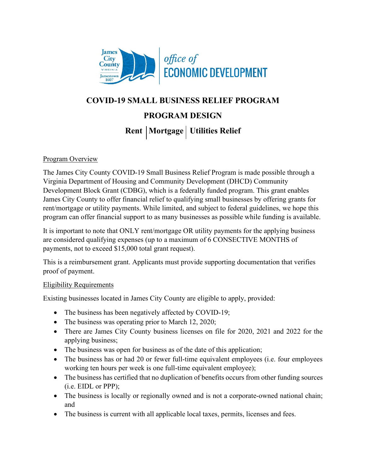

# **COVID-19 SMALL BUSINESS RELIEF PROGRAM PROGRAM DESIGN Rent | Mortgage | Utilities Relief**

#### Program Overview

The James City County COVID-19 Small Business Relief Program is made possible through a Virginia Department of Housing and Community Development (DHCD) Community Development Block Grant (CDBG), which is a federally funded program. This grant enables James City County to offer financial relief to qualifying small businesses by offering grants for rent/mortgage or utility payments. While limited, and subject to federal guidelines, we hope this program can offer financial support to as many businesses as possible while funding is available.

It is important to note that ONLY rent/mortgage OR utility payments for the applying business are considered qualifying expenses (up to a maximum of 6 CONSECTIVE MONTHS of payments, not to exceed \$15,000 total grant request).

This is a reimbursement grant. Applicants must provide supporting documentation that verifies proof of payment.

#### Eligibility Requirements

Existing businesses located in James City County are eligible to apply, provided:

- The business has been negatively affected by COVID-19;
- The business was operating prior to March 12, 2020;
- There are James City County business licenses on file for 2020, 2021 and 2022 for the applying business;
- The business was open for business as of the date of this application;
- The business has or had 20 or fewer full-time equivalent employees (i.e. four employees working ten hours per week is one full-time equivalent employee);
- The business has certified that no duplication of benefits occurs from other funding sources (i.e. EIDL or PPP);
- The business is locally or regionally owned and is not a corporate-owned national chain; and
- The business is current with all applicable local taxes, permits, licenses and fees.